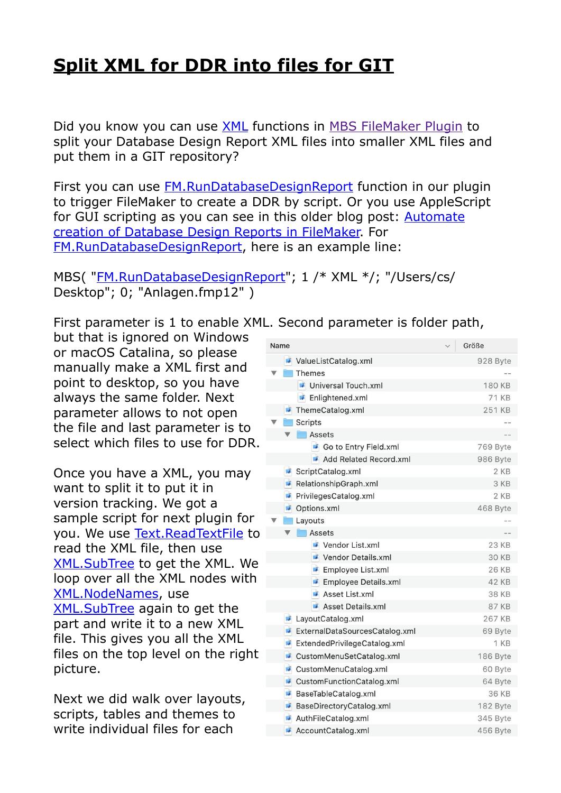## **[Split XML for DDR into files for GIT](https://www.mbs-plugins.com/archive/2020-07-27/Split_XML_for_DDR_into_files_f/monkeybreadsoftware_blog_filemaker)**

Did you know you can use [XML](https://www.mbsplugins.eu/component_XML.shtml) functions in [MBS FileMaker Plugin](https://www.monkeybreadsoftware.com/filemaker/) to split your Database Design Report XML files into smaller XML files and put them in a GIT repository?

First you can use [FM.RunDatabaseDesignReport](https://www.mbsplugins.eu/FMRunDatabaseDesignReport.shtml) function in our plugin to trigger FileMaker to create a DDR by script. Or you use AppleScript for GUI scripting as you can see in this older blog post: [Automate](https://www.mbs-plugins.com/archive/2017-05-25/Automate_creation_of_Database_/monkeybreadsoftware_blog_filemaker)  [creation of Database Design Reports in FileMaker.](https://www.mbs-plugins.com/archive/2017-05-25/Automate_creation_of_Database_/monkeybreadsoftware_blog_filemaker) For [FM.RunDatabaseDesignReport,](https://www.mbsplugins.eu/FMRunDatabaseDesignReport.shtml) here is an example line:

MBS("[FM.RunDatabaseDesignReport"](https://www.mbsplugins.eu/FMRunDatabaseDesignReport.shtml); 1 /\* XML \*/; "/Users/cs/ Desktop"; 0; "Anlagen.fmp12" )

First parameter is 1 to enable XML. Second parameter is folder path,

but that is ignored on Windows or macOS Catalina, so please manually make a XML first and point to desktop, so you have always the same folder. Next parameter allows to not open the file and last parameter is to select which files to use for DDR.

Once you have a XML, you may want to split it to put it in version tracking. We got a sample script for next plugin for you. We use [Text.ReadTextFile](https://www.mbsplugins.eu/TextReadTextFile.shtml) to read the XML file, then use [XML.SubTree](https://www.mbsplugins.eu/XMLSubTree.shtml) to get the XML. We loop over all the XML nodes with [XML.NodeNames](https://www.mbsplugins.eu/XMLNodeNames.shtml), use [XML.SubTree](https://www.mbsplugins.eu/XMLSubTree.shtml) again to get the part and write it to a new XML file. This gives you all the XML files on the top level on the right picture.

Next we did walk over layouts, scripts, tables and themes to write individual files for each

| Name |                |                                | Größe        |
|------|----------------|--------------------------------|--------------|
|      |                |                                |              |
|      |                | ValueListCatalog.xml           | 928 Byte     |
|      |                | Themes                         |              |
|      |                | Universal Touch.xml            | 180 KB       |
|      |                | Enlightened.xml                | <b>71 KB</b> |
|      |                | ThemeCatalog.xml               | 251 KB       |
|      |                | <b>Scripts</b>                 |              |
|      | ▼              | <b>Assets</b>                  |              |
|      |                | Go to Entry Field.xml          | 769 Byte     |
|      |                | Add Related Record.xml         | 986 Byte     |
|      |                | ScriptCatalog.xml              | 2 KB         |
|      | $\mathbf{r}$   | RelationshipGraph.xml          | 3 KB         |
|      | $\overline{a}$ | PrivilegesCatalog.xml          | 2 KB         |
|      | a T            | Options.xml                    | 468 Byte     |
|      |                | Layouts                        |              |
|      |                | Assets                         |              |
|      |                | Vendor List.xml                | 23 KB        |
|      |                | Vendor Details.xml             | 30 KB        |
|      |                | Employee List.xml              | 26 KB        |
|      |                | Employee Details.xml           | 42 KB        |
|      |                | Asset List.xml                 | 38 KB        |
|      |                | Asset Details.xml              | 87 KB        |
|      |                | LayoutCatalog.xml              | 267 KB       |
|      | $\overline{1}$ | ExternalDataSourcesCatalog.xml | 69 Byte      |
|      | $\mathcal{L}$  | ExtendedPrivilegeCatalog.xml   | 1 KB         |
|      | $\overline{1}$ | CustomMenuSetCatalog.xml       | 186 Byte     |
|      |                | CustomMenuCatalog.xml          | 60 Byte      |
|      | $\overline{1}$ | CustomFunctionCatalog.xml      | 64 Byte      |
|      | $\overline{1}$ | BaseTableCatalog.xml           | 36 KB        |
|      | $\mathcal{L}$  | BaseDirectoryCatalog.xml       | 182 Byte     |
|      |                | AuthFileCatalog.xml            | 345 Byte     |
|      |                | AccountCatalog xml             | 456 Byte     |